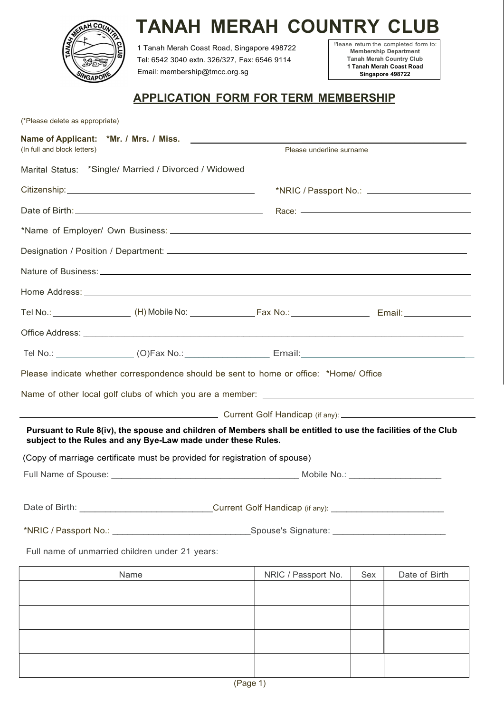

# TANAH MERAH COUNTRY CLUB

1 Tanah Merah Coast Road, Singapore 498722 Tel: 6542 3040 extn. 326/327, Fax: 6546 9114 Email: membership@tmcc.org.sg

!'lease return the completed form to: Membership Department Tanah Merah Country Club 1 Tanah Merah Coast Road Singapore 498722

## APPLICATION FORM FOR TERM MEMBERSHIP

(\*Please delete as appropriate)

| (In full and block letters) |                                                                            | Please underline surname                                                                                       |     |               |  |  |
|-----------------------------|----------------------------------------------------------------------------|----------------------------------------------------------------------------------------------------------------|-----|---------------|--|--|
|                             | Marital Status: *Single/ Married / Divorced / Widowed                      |                                                                                                                |     |               |  |  |
|                             |                                                                            | *NRIC / Passport No.: ________________________                                                                 |     |               |  |  |
|                             |                                                                            |                                                                                                                |     |               |  |  |
|                             |                                                                            |                                                                                                                |     |               |  |  |
|                             |                                                                            |                                                                                                                |     |               |  |  |
|                             |                                                                            |                                                                                                                |     |               |  |  |
|                             |                                                                            |                                                                                                                |     |               |  |  |
|                             |                                                                            |                                                                                                                |     |               |  |  |
|                             |                                                                            |                                                                                                                |     |               |  |  |
|                             |                                                                            | Tel No.: __________________(O)Fax No.: ______________________ Email: _______________________________           |     |               |  |  |
|                             |                                                                            | Please indicate whether correspondence should be sent to home or office: *Home/ Office                         |     |               |  |  |
|                             |                                                                            |                                                                                                                |     |               |  |  |
|                             |                                                                            |                                                                                                                |     |               |  |  |
|                             | subject to the Rules and any Bye-Law made under these Rules.               | Pursuant to Rule 8(iv), the spouse and children of Members shall be entitled to use the facilities of the Club |     |               |  |  |
|                             | (Copy of marriage certificate must be provided for registration of spouse) |                                                                                                                |     |               |  |  |
|                             |                                                                            |                                                                                                                |     |               |  |  |
| Date of Birth:              |                                                                            | Current Golf Handicap (if any):                                                                                |     |               |  |  |
|                             |                                                                            | Spouse's Signature: Spouse's Signature:                                                                        |     |               |  |  |
|                             |                                                                            |                                                                                                                |     |               |  |  |
|                             | Full name of unmarried children under 21 years:                            |                                                                                                                |     |               |  |  |
|                             | Name                                                                       | NRIC / Passport No.                                                                                            | Sex | Date of Birth |  |  |
|                             |                                                                            |                                                                                                                |     |               |  |  |
|                             |                                                                            |                                                                                                                |     |               |  |  |
|                             |                                                                            |                                                                                                                |     |               |  |  |
|                             |                                                                            |                                                                                                                |     |               |  |  |
|                             |                                                                            |                                                                                                                |     |               |  |  |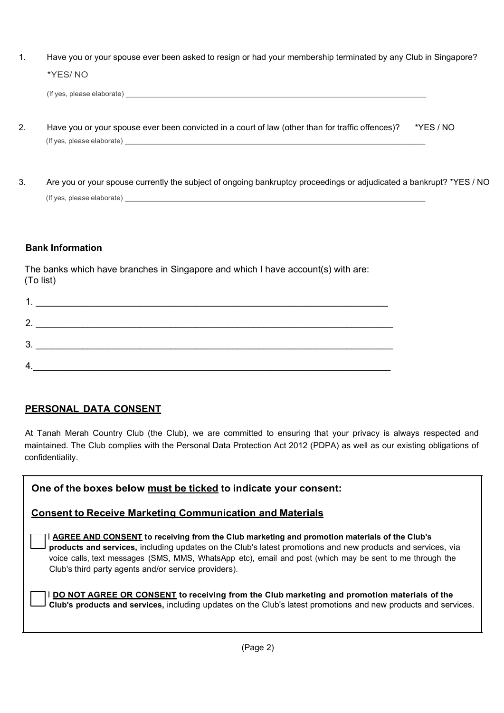1. Have you or your spouse ever been asked to resign or had your membership terminated by any Club in Singapore?

\*YES/ NO

(If yes, please elaborate) \_\_\_\_\_\_\_\_\_\_\_\_\_\_\_\_\_\_\_\_\_\_\_\_\_\_\_\_\_\_\_\_\_\_\_\_\_\_\_\_\_\_\_\_\_\_\_\_\_\_\_\_\_\_\_\_\_\_\_\_\_\_\_\_\_\_\_\_\_\_\_\_\_\_\_\_

- 2. Have you or your spouse ever been convicted in a court of law (other than for traffic offences)? \*YES / NO (If yes, please elaborate)
- 3. Are you or your spouse currently the subject of ongoing bankruptcy proceedings or adjudicated a bankrupt? \*YES / NO (If yes, please elaborate)

#### Bank Information

The banks which have branches in Singapore and which I have account(s) with are: (To list)

| 1. |  |  |
|----|--|--|
| 2. |  |  |
| 3. |  |  |
| 4. |  |  |

### PERSONAL DATA CONSENT

At Tanah Merah Country Club (the Club), we are committed to ensuring that your privacy is always respected and maintained. The Club complies with the Personal Data Protection Act 2012 (PDPA) as well as our existing obligations of confidentiality.

| One of the boxes below must be ticked to indicate your consent:                                                                                                                                                                                                                                                                                                                        |
|----------------------------------------------------------------------------------------------------------------------------------------------------------------------------------------------------------------------------------------------------------------------------------------------------------------------------------------------------------------------------------------|
| <b>Consent to Receive Marketing Communication and Materials</b>                                                                                                                                                                                                                                                                                                                        |
| <b>AGREE AND CONSENT</b> to receiving from the Club marketing and promotion materials of the Club's<br>products and services, including updates on the Club's latest promotions and new products and services, via<br>voice calls, text messages (SMS, MMS, WhatsApp etc), email and post (which may be sent to me through the<br>Club's third party agents and/or service providers). |
| DO NOT AGREE OR CONSENT to receiving from the Club marketing and promotion materials of the<br>Club's products and services, including updates on the Club's latest promotions and new products and services.                                                                                                                                                                          |